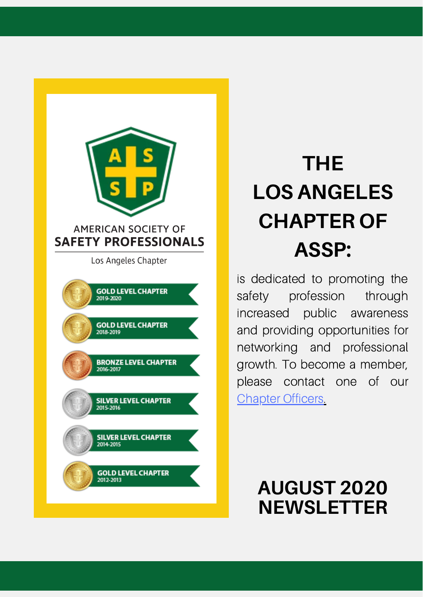

# **THE LOS ANGELES CHAPTER OF ASSP:**

is dedicated to promoting the safety profession through increased public awareness and providing opportunities for networking and professional growth. To become a member, please contact one of our **[Chapter](https://la.assp.org/chapter-officers/) Officers[.](https://la.assp.org/chapter-officers/)** 

### **AUGUST 2020 NEWSLETTER**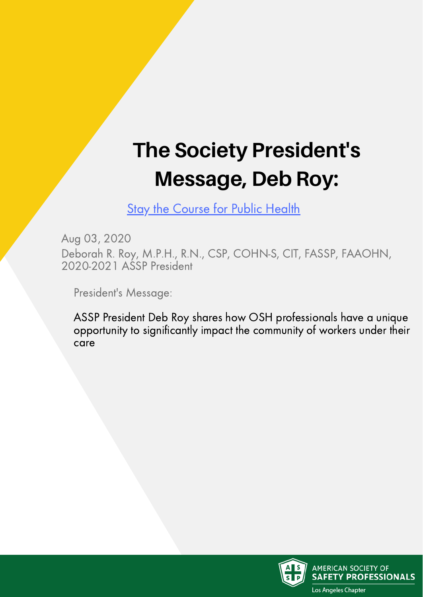# **The Society President's Message, Deb Roy:**

**Stay the [Course](https://www.assp.org/news-and-articles/2020/08/03/stay-the-course-for-public-health) for Public Health** 

Aug 03, 2020 Deborah R. Roy, M.P.H., R.N., CSP, COHN-S, CIT, FASSP, FAAOHN, 2020-2021 ASSP President

President's Message:

ASSP President Deb Roy shares how OSH professionals have a unique opportunity to significantly impact the community of workers under their care

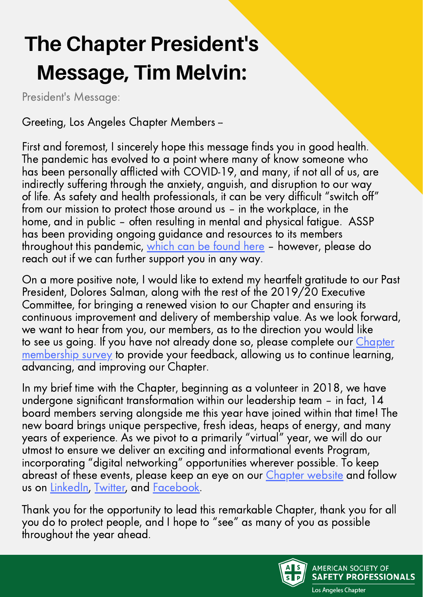# **The Chapter President's Message, Tim Melvin:**

President's Message:

Greeting, Los Angeles Chapter Members --

First and foremost, I sincerely hope this message finds you in good health. The pandemic has evolved to a point where many of know someone who has been personally afflicted with COVID-19, and many, if not all of us, are indirectly suffering through the anxiety, anguish, and disruption to our way of life. As safety and health professionals, it can be very difficult "switch off" from our mission to protect those around us – in the workplace, in the home, and in public – often resulting in mental and physical fatigue. ASSP has been providing ongoing guidance and resources to its members throughout this pandemic, [which](https://www.assp.org/resources/covid-19/latest-resources) can be found here - however, please do reach out if we can further support you in any way.

On a more positive note, I would like to extend my heartfelt gratitude to our Past President, Dolores Salman, along with the rest of the 2019/20 Executive Committee, for bringing a renewed vision to our Chapter and ensuring its continuous improvement and delivery of membership value. As we look forward, we want to hear from you, our members, as to the direction you would like to see us going. If you have not already done [so, please complete our](https://asspla.survey.fm/membership-outreach-jul-2020) *Chapter* membership survey to provide your feedback, allowing us to continue learning, advancing, and improving our Chapter.

In my brief time with the Chapter, beginning as a volunteer in 2018, we have undergone significant transformation within our leadership team – in fact, 14 board members serving alongside me this year have joined within that time! The new board brings unique perspective, fresh ideas, heaps of energy, and many years of experience. As we pivot to a primarily "virtual" year, we will do our utmost to ensure we deliver an exciting and informational events Program, incorporating "digital networking" opportunities wherever possible. To keep abreast of these events, please keep an eye on our [Chapter](https://la.assp.org/) website and follow us on [LinkedIn](https://www.linkedin.com/company/18762192/admin/), [Twitter,](https://twitter.com/assp_la?lang=en) and [Facebook.](https://www.facebook.com/ASSPLosAngeles)

Thank you for the opportunity to lead this remarkable Chapter, thank you for all you do to protect people, and I hope to "see" as many of you as possible throughout the year ahead.



**AMERICAN SOCIETY OF SAFETY PROFESSIONALS**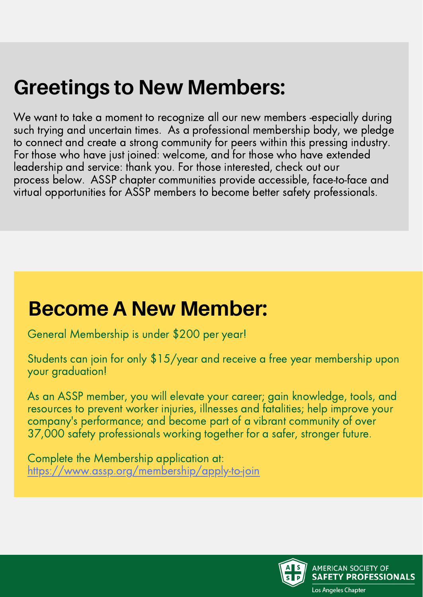# **Greetings to New Members:**

We want to take a moment to recognize all our new members -especially during such trying and uncertain times. As a professional membership body, we pledge to connect and create a strong community for peers within this pressing industry. For those who have just joined: welcome, and for those who have extended leadership and service: thank you. For those interested, check out our process below. ASSP chapter communities provide accessible, face-to-face and virtual opportunities for ASSP members to become better safety professionals.

### **Become A New Member:**

General Membership is under \$200 per year!

Students can join for only \$15/year and receive a free year membership upon your graduation!

As an ASSP member, you will elevate your career; gain knowledge, tools, and resources to prevent worker injuries, illnesses and fatalities; help improve your company's performance; and become part of a vibrant community of over 37,000 safety professionals working together for a safer, stronger future.

Complete the Membership application at: <https://www.assp.org/membership/apply-to-join>

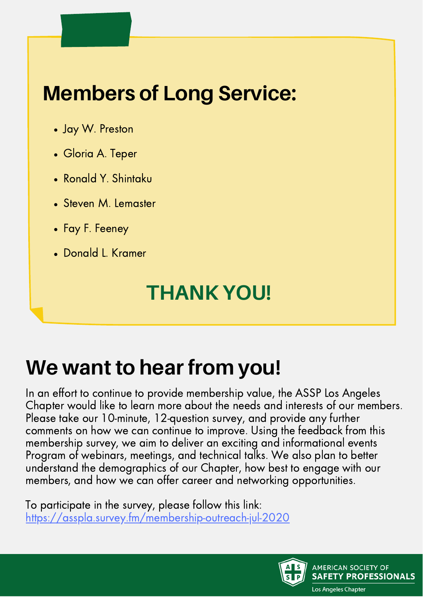# **Members of Long Service:**

- Jay W. Preston
- Gloria A. Teper
- Ronald Y. Shintaku
- Steven M. Lemaster
- Fay F. Feeney
- Donald L. Kramer

## **THANK YOU!**

# **We want to hear from you!**

In an effort to continue to provide membership value, the ASSP Los Angeles Chapter would like to learn more about the needs and interests of our members. Please take our 10-minute, 12-question survey, and provide any further comments on how we can continue to improve. Using the feedback from this membership survey, we aim to deliver an exciting and informational events Program of webinars, meetings, and technical talks. We also plan to better understand the demographics of our Chapter, how best to engage with our members, and how we can offer career and networking opportunities.

To participate in the survey, please follow this link: <https://asspla.survey.fm/membership-outreach-jul-2020>

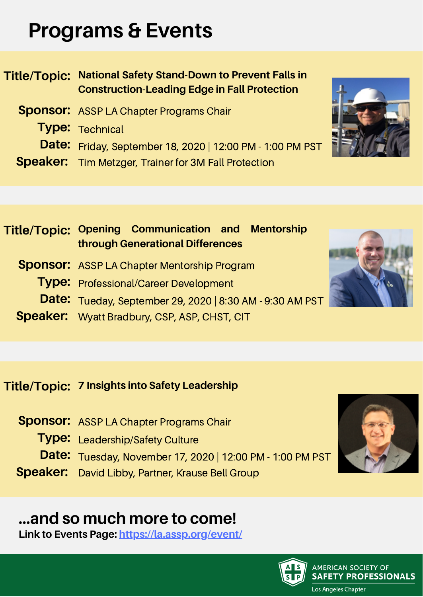## **Programs & Events**

**Title/Topic: National Safety Stand-Down to Prevent Falls in Construction-Leading Edge in Fall Protection**

- **Sponsor:** ASSP LA Chapter Programs Chair
	- **Type:** Technical
	- **Date:** Friday, September 18, 2020 | 12:00 PM 1:00 PM PST
- **Speaker:** Tim Metzger, Trainer for 3M Fall Protection

### **Title/Topic: Opening Communication and Mentorship through Generational Differences**

- **Sponsor:** ASSP LA Chapter Mentorship Program
	- **Type:** Professional/Career Development
	- **Date:** Tueday, September 29, 2020 | 8:30 AM 9:30 AM PST
- **Speaker:** Wyatt Bradbury, CSP, ASP, CHST, CIT

### **Title/Topic: 7 Insights into Safety Leadership**

- **Sponsor:** ASSP LA Chapter Programs Chair
	- **Type:** Leadership/Safety Culture
	- **Date:** Tuesday, November 17, 2020 | 12:00 PM 1:00 PM PST
- **Speaker:** David Libby, Partner, Krause Bell Group

### **...and so much more to come!**

**Link to Events Page: <https://la.assp.org/event/>**





AMERICAN SOCIETY OF

Los Angeles Chapter

**SAFETY PROFESSIONALS** 



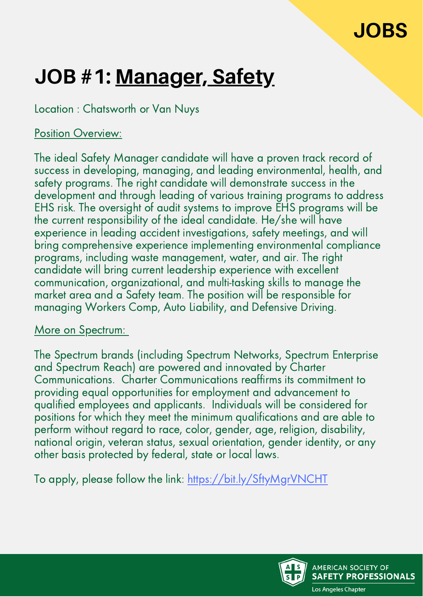### **JOBS**

# **JOB #1: Manager, Safety**

Location : Chatsworth or Van Nuys

#### Position Overview:

The ideal Safety Manager candidate will have a proven track record of success in developing, managing, and leading environmental, health, and safety programs. The right candidate will demonstrate success in the development and through leading of various training programs to address EHS risk. The oversight of audit systems to improve EHS programs will be the current responsibility of the ideal candidate. He/she will have experience in leading accident investigations, safety meetings, and will bring comprehensive experience implementing environmental compliance programs, including waste management, water, and air. The right candidate will bring current leadership experience with excellent communication, organizational, and multi-tasking skills to manage the market area and a Safety team. The position will be responsible for managing Workers Comp, Auto Liability, and Defensive Driving.

#### More on Spectrum:

The Spectrum brands (including Spectrum Networks, Spectrum Enterprise and Spectrum Reach) are powered and innovated by Charter Communications. Charter Communications reaffirms its commitment to providing equal opportunities for employment and advancement to qualified employees and applicants. Individuals will be considered for positions for which they meet the minimum qualifications and are able to perform without regard to race, color, gender, age, religion, disability, national origin, veteran status, sexual orientation, gender identity, or any other basis protected by federal, state or local laws.

To apply, please follow the link: <https://bit.ly/SftyMgrVNCHT>

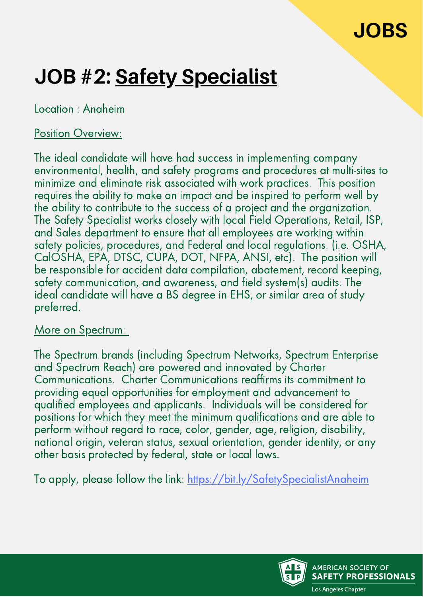### **JOBS**

# **JOB #2: Safety Specialist**

Location : Anaheim

#### Position Overview:

The ideal candidate will have had success in implementing company environmental, health, and safety programs and procedures at multi-sites to minimize and eliminate risk associated with work practices. This position requires the ability to make an impact and be inspired to perform well by the ability to contribute to the success of a project and the organization. The Safety Specialist works closely with local Field Operations, Retail, ISP, and Sales department to ensure that all employees are working within safety policies, procedures, and Federal and local regulations. (i.e. OSHA, CalOSHA, EPA, DTSC, CUPA, DOT, NFPA, ANSI, etc). The position will be responsible for accident data compilation, abatement, record keeping, safety communication, and awareness, and field system(s) audits. The ideal candidate will have a BS degree in EHS, or similar area of study preferred.

#### More on Spectrum:

The Spectrum brands (including Spectrum Networks, Spectrum Enterprise and Spectrum Reach) are powered and innovated by Charter Communications. Charter Communications reaffirms its commitment to providing equal opportunities for employment and advancement to qualified employees and applicants. Individuals will be considered for positions for which they meet the minimum qualifications and are able to perform without regard to race, color, gender, age, religion, disability, national origin, veteran status, sexual orientation, gender identity, or any other basis protected by federal, state or local laws.

To apply, please follow the link: <https://bit.ly/SafetySpecialistAnaheim>

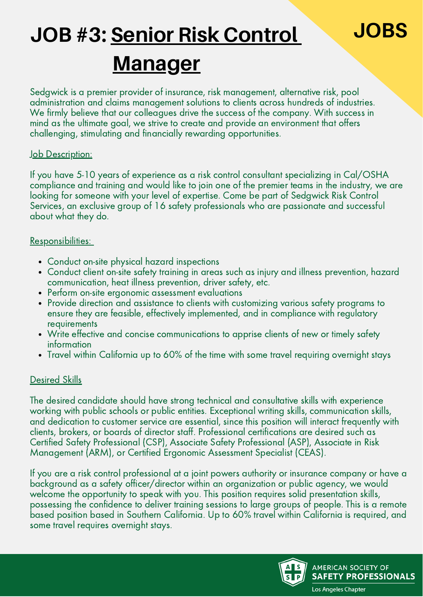# **JOB #3: Senior Risk Control JOBS Manager**

#### Sedgwick is a premier provider of insurance, risk management, alternative risk, pool administration and claims management solutions to clients across hundreds of industries. We firmly believe that our colleagues drive the success of the company. With success in mind as the ultimate goal, we strive to create and provide an environment that offers challenging, stimulating and financially rewarding opportunities.

#### Job Description:

If you have 5-10 years of experience as a risk control consultant specializing in Cal/OSHA compliance and training and would like to join one of the premier teams in the industry, we are looking for someone with your level of expertise. Come be part of Sedgwick Risk Control Services, an exclusive group of 16 safety professionals who are passionate and successful about what they do.

#### Responsibilities:

- Conduct on-site physical hazard inspections
- Conduct client on-site safety training in areas such as injury and illness prevention, hazard communication, heat illness prevention, driver safety, etc.
- Perform on-site ergonomic assessment evaluations
- Provide direction and assistance to clients with customizing various safety programs to ensure they are feasible, effectively implemented, and in compliance with regulatory requirements
- Write effective and concise communications to apprise clients of new or timely safety information
- Travel within California up to 60% of the time with some travel requiring overnight stays

#### Desired Skills

The desired candidate should have strong technical and consultative skills with experience working with public schools or public entities. Exceptional writing skills, communication skills, and dedication to customer service are essential, since this position will interact frequently with clients, brokers, or boards of director staff. Professional certifications are desired such as Certified Safety Professional (CSP), Associate Safety Professional (ASP), Associate in Risk Management (ARM), or Certified Ergonomic Assessment Specialist (CEAS).

If you are a risk control professional at a joint powers authority or insurance company or have a background as a safety officer/director within an organization or public agency, we would welcome the opportunity to speak with you. This position requires solid presentation skills, possessing the confidence to deliver training sessions to large groups of people. This is a remote based position based in Southern California. Up to 60% travel within California is required, and some travel requires overnight stays.

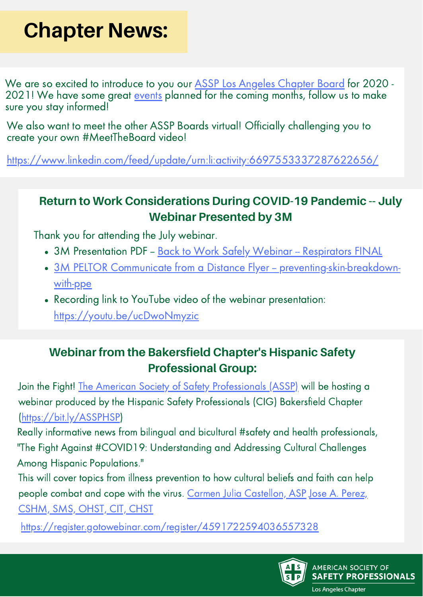# **Chapter News:**

We are so excited to introduce to you our ASSP Los Angeles [Chapter](https://www.linkedin.com/feed/update/urn:li:activity:6697553337287622656/) Board for 2020 2021! We have some great [events](https://www.linkedin.com/feed/?trk=login_reg_redirect) planned for the coming months, follow us to make sure you stay informed!

We also want to meet the other ASSP Boards virtual! Officially challenging you to create your own #MeetTheBoard video!

<https://www.linkedin.com/feed/update/urn:li:activity:6697553337287622656/>

#### **Return to Work Considerations During COVID-19 Pandemic -- July Webinar Presented by 3M**

Thank you for attending the July webinar.

- 3M Presentation PDF Back to Work Safely Webinar [Respirators](https://la.assp.org/wp-content/uploads/sites/171/2020/08/Back-to-Work-Safely-Webinar-Respirators-FINAL.pdf) FINAL
- 3M PELTOR Communicate from a Distance Flyer -- [preventing-skin-breakdown](https://la.assp.org/wp-content/uploads/sites/171/2020/08/3M-PELTOR-Communicate-from-a-Distance-Flyer.pdf)with-ppe
- Recording link to YouTube video of the webinar presentation: [https://youtu.be/ucDwoNmyzic](https://www.youtube.com/watch?v=ucDwoNmyzic&feature=youtu.be)

### **Webinar from the Bakersfield Chapter's Hispanic Safety Professional Group:**

Join the Fight! The American Society of Safety [Professionals](https://www.linkedin.com/company/american-society-of-safety-professionals/) (ASSP) will be hosting a webinar produced by the Hispanic Safety Professionals (CIG) Bakersfield Chapter [\(https://bit.ly/ASSPHSP\)](https://www.assp.org/membership/communities/common-interest-groups/hispanic-safety-professionals)

Really informative news from bilingual and bicultural #safety and health professionals, "The Fight Against #COVID19: Understanding and Addressing Cultural Challenges Among Hispanic Populations."

This will cover topics from illness prevention to how cultural beliefs and faith can help people combat and cope with the virus. Carmen Julia [Castellon,](https://www.linkedin.com/in/cjcastellon/) ASP Jose A. Perez, CSHM, SMS, OHST, CIT, CHST

<https://register.gotowebinar.com/register/4591722594036557328>

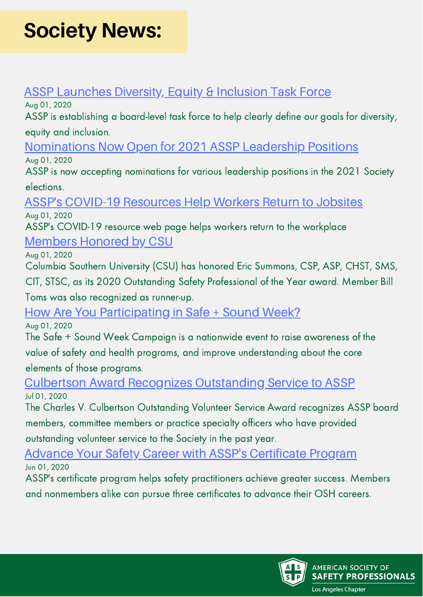# **Society News:**

#### **ASSP [Launches](https://www.assp.org/society-update-news/2020/08/01/assp-launches-diversity-equity-inclusion-task-force) Diversity, Equity & Inclusion Task Force**

Aug 01, 2020

ASSP is establishing a board-level task force to help clearly define our goals for diversity, equity and inclusion.

[Nominations](https://www.assp.org/society-update-news/2020/08/01/nominations-now-open-for-2021-assp-leadership-positions) Now Open for 2021 ASSP Leadership Positions

Aug 01, 2020

ASSP is now accepting nominations for various leadership positions in the 2021 Society elections.

#### ASSP's COVID-19 [Resources](https://www.assp.org/society-update-news/2020/08/01/assp-s-covid-19-resources-help-workers-return-to-jobsites) Help Workers Return to Jobsites Aug 01, 2020

ASSP's COVID-19 resource web page helps workers return to the workplace

### [Members](https://www.assp.org/society-update-news/2020/08/01/members-honored-by-csu) Honored by CSU

Aug 01, 2020

Columbia Southern University (CSU) has honored Eric Summons, CSP, ASP, CHST, SMS,

CIT, STSC, as its 2020 Outstanding Safety Professional of the Year award. Member Bill

Toms was also recognized as runner-up.

### How Are You [Participating](https://www.assp.org/society-update-news/2020/08/01/how-are-you-participating-in-safe-sound-week) in Safe + Sound Week?

Aug 01, 2020

The Safe + Sound Week Campaign is a nationwide event to raise awareness of the value of safety and health programs, and improve understanding about the core elements of those programs.

#### Culbertson Award Recognizes [Outstanding](https://www.assp.org/society-update-news/2020/07/01/culbertson-award-recognizes-outstanding-service-to-assp) Service to ASSP Jul 01, 2020

The Charles V. Culbertson Outstanding Volunteer Service Award recognizes ASSP board members, committee members or practice specialty officers who have provided outstanding volunteer service to the Society in the past year.

#### Advance Your Safety Career with ASSP's [Certificate](https://www.assp.org/society-update-news/2020/07/01/advance-your-safety-career-with-assp-s-certificate-program) Program Jun 01, 2020

ASSP's certificate program helps safety practitioners achieve greater success. Members and nonmembers alike can pursue three certificates to advance their OSH careers.

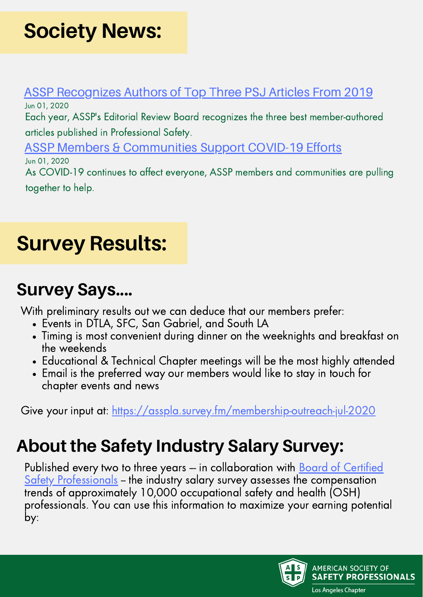# **Society News:**

#### ASSP [Recognizes](https://www.assp.org/society-update-news/2020/06/01/assp-recognizes-authors-of-top-three-psj-articles-from-2019) Authors of Top Three PSJ Articles From 2019 Jun 01, 2020

Each year, ASSP's Editorial Review Board recognizes the three best member-authored articles published in Professional Safety.

ASSP Members & [Communities](https://www.assp.org/society-update-news/2020/06/01/assp-members-communities-support-covid-19-efforts) Support COVID-19 Efforts Jun 01, 2020

As COVID-19 continues to affect everyone, ASSP members and communities are pulling together to help.

# **Survey Results:**

### **Survey Says....**

With preliminary results out we can deduce that our members prefer:

- Events in DTLA, SFC, San Gabriel, and South LA
- Timing is most convenient during dinner on the weeknights and breakfast on the weekends
- Educational & Technical Chapter meetings will be the most highly attended
- Email is the preferred way our members would like to stay in touch for chapter events and news

Give your input at: <https://asspla.survey.fm/membership-outreach-jul-2020>

### **About the Safety Industry Salary Survey:**

Published every two to three years – in collaboration with **Board of Certified** Safety Professionals - the industry salary survey assesses the compensation trends of approximately 10,000 occupational safety and health (OSH) professionals. You can use this information to maximize your earning potential by:

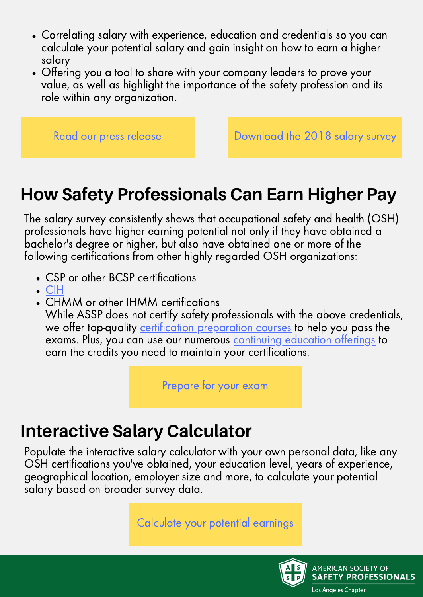- Correlating salary with experience, education and credentials so you can calculate your potential salary and gain insight on how to earn a higher salary
- Offering you a tool to share with your company leaders to prove your value, as well as highlight the importance of the safety profession and its role within any organization.

Read our press [release](https://www.assp.org/news-and-articles/2018/05/24/salary-survey-pinpoints-value-of-certifications-for-safety-and-health-professionals) **[Download](https://www.assp.org/docs/default-source/default-document-library/bcsp-asse_2018_salary_findings.pdf?sfvrsn=6598fd47_2) the 2018 salary survey** 

### **How Safety Professionals Can Earn Higher Pay**

The salary survey consistently shows that occupational safety and health (OSH) professionals have higher earning potential not only if they have obtained a bachelor's degree or higher, but also have obtained one or more of the following certifications from other highly regarded OSH organizations:

- CSP or other BCSP certifications
- $\bullet$  [CIH](http://www.abih.org/about-abih/cih-caih)
- CHMM or other IHMM certifications

While ASSP does not certify safety professionals with the above credentials, we offer top-quality certification [preparation](https://www.assp.org/education/certification-preparation) courses to help you pass the exams. Plus, you can use our numerous [continuing](https://www.assp.org/education) education offerings to earn the credits you need to maintain your certifications.

[Prepare](https://www.assp.org/education/certification-preparation) for your exam

### **Interactive Salary Calculator**

Populate the interactive salary calculator with your own personal data, like any OSH certifications you've obtained, your education level, years of experience, geographical location, employer size and more, to calculate your potential salary based on broader survey data.

[Calculate](https://www.bcsp.org/resources/salary-survey) your potential earnings

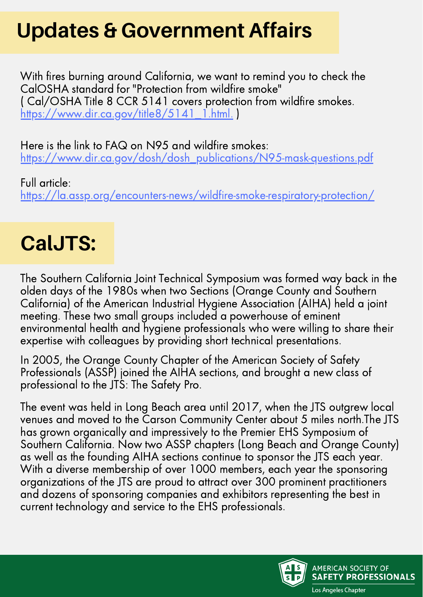# **Updates & Government Affairs**

With fires burning around California, we want to remind you to check the CalOSHA standard for "Protection from wildfire smoke" ( Cal/OSHA Title 8 CCR 5141 covers protection from wildfire smokes. [https://www.dir.ca.gov/title8/5141\\_1.html.](https://www.dir.ca.gov/title8/5141_1.html)

Here is the link to FAQ on N95 and wildfire smokes: [https://www.dir.ca.gov/dosh/dosh\\_publications/N95-mask-questions.pdf](https://www.dir.ca.gov/dosh/dosh_publications/N95-mask-questions.pdf)

Full article: <https://la.assp.org/encounters-news/wildfire-smoke-respiratory-protection/>

## **CalJTS:**

The Southern California Joint Technical Symposium was formed way back in the olden days of the 1980s when two Sections (Orange County and Southern California) of the American Industrial Hygiene Association (AIHA) held a joint meeting. These two small groups included a powerhouse of eminent environmental health and hygiene professionals who were willing to share their expertise with colleagues by providing short technical presentations.

In 2005, the Orange County Chapter of the American Society of Safety Professionals (ASSP) joined the AIHA sections, and brought a new class of professional to the JTS: The Safety Pro.

The event was held in Long Beach area until 2017, when the JTS outgrew local venues and moved to the Carson Community Center about 5 miles north.The JTS has grown organically and impressively to the Premier EHS Symposium of Southern California. Now two ASSP chapters (Long Beach and Orange County) as well as the founding AIHA sections continue to sponsor the JTS each year. With a diverse membership of over 1000 members, each year the sponsoring organizations of the JTS are proud to attract over 300 prominent practitioners and dozens of sponsoring companies and exhibitors representing the best in current technology and service to the EHS professionals.

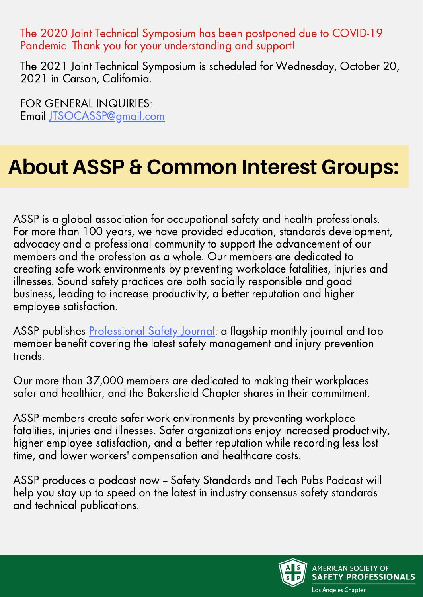The 2020 Joint Technical Symposium has been postponed due to COVID-19 Pandemic. Thank you for your understanding and support!

The 2021 Joint Technical Symposium is scheduled for Wednesday, October 20, 2021 in Carson, California.

FOR GENERAL INQUIRIES: Email [JTSOCASSP@gmail.com](http://gmail.com/)

# **About ASSP & Common Interest Groups:**

ASSP is a global association for occupational safety and health professionals. For more than 100 years, we have provided education, standards development, advocacy and a professional community to support the advancement of our members and the profession as a whole. Our members are dedicated to creating safe work environments by preventing workplace fatalities, injuries and illnesses. Sound safety practices are both socially responsible and good business, leading to increase productivity, a better reputation and higher employee satisfaction.

ASSP publishes [Professional](https://www.assp.org/publications/professional-safety) Safety Journal: a flagship monthly journal and top member benefit covering the latest safety management and injury prevention trends.

Our more than 37,000 members are dedicated to making their workplaces safer and healthier, and the Bakersfield Chapter shares in their commitment.

ASSP members create safer work environments by preventing workplace fatalities, injuries and illnesses. Safer organizations enjoy increased productivity, higher employee satisfaction, and a better reputation while recording less lost time, and lower workers' compensation and healthcare costs.

ASSP produces a podcast now - Safety Standards and Tech Pubs Podcast will help you stay up to speed on the latest in industry consensus safety standards and technical publications.

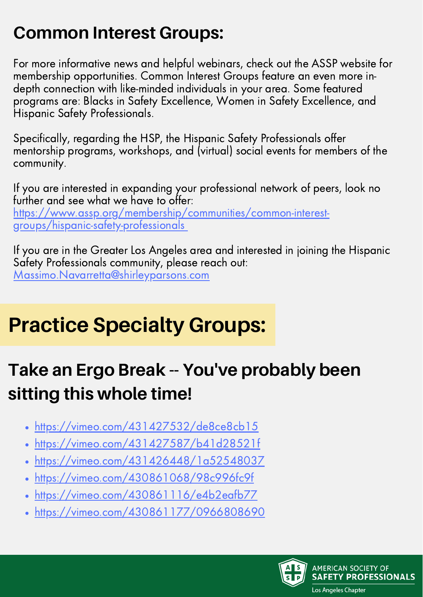### **Common Interest Groups:**

For more informative news and helpful webinars, check out the ASSP website for membership opportunities. Common Interest Groups feature an even more indepth connection with like-minded individuals in your area. Some featured programs are: Blacks in Safety Excellence, Women in Safety Excellence, and Hispanic Safety Professionals.

Specifically, regarding the HSP, the Hispanic Safety Professionals offer mentorship programs, workshops, and (virtual) social events for members of the community.

If you are interested in expanding your professional network of peers, look no further and see what we have to offer: [https://www.assp.org/membership/communities/common-interest](https://www.assp.org/membership/communities/common-interest-groups/hispanic-safety-professionals)groups/hispanic-safety-professionals

If you are in the Greater Los Angeles area and interested in joining the Hispanic Safety Professionals community, please reach out: [Massimo.Navarretta@shirleyparsons.com](http://shirleyparsons.com/)

# **Practice Specialty Groups:**

### **Take an Ergo Break -- You've probably been sitting this whole time!**

- <https://vimeo.com/431427532/de8ce8cb15>  $\bullet$
- <https://vimeo.com/431427587/b41d28521f>
- <https://vimeo.com/431426448/1a52548037>  $\bullet$
- <https://vimeo.com/430861068/98c996fc9f>
- <https://vimeo.com/430861116/e4b2eafb77>
- <https://vimeo.com/430861177/0966808690>

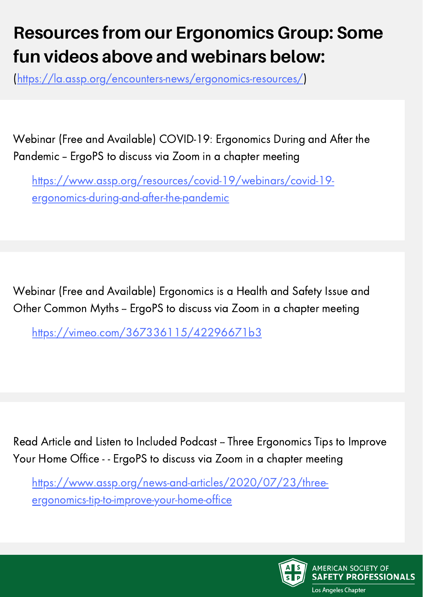### **Resources from our Ergonomics Group: Some fun videos above and webinars below:**

([https://la.assp.org/encounters-news/ergonomics-resources/\)](https://la.assp.org/encounters-news/ergonomics-resources/)

Webinar (Free and Available) COVID-19: Ergonomics During and After the Pandemic – ErgoPS to discuss via Zoom in a chapter meeting

[https://www.assp.org/resources/covid-19/webinars/covid-19](https://www.assp.org/resources/covid-19/webinars/covid-19-ergonomics-during-and-after-the-pandemic) ergonomics-during-and-after-the-pandemic

Webinar (Free and Available) Ergonomics is a Health and Safety Issue and Other Common Myths - ErgoPS to discuss via Zoom in a chapter meeting

<https://vimeo.com/367336115/42296671b3>

Read Article and Listen to Included Podcast - Three Ergonomics Tips to Improve Your Home Office - - ErgoPS to discuss via Zoom in a chapter meeting

[https://www.assp.org/news-and-articles/2020/07/23/three](https://www.assp.org/news-and-articles/2020/07/23/three-ergonomics-tip-to-improve-your-home-office)ergonomics-tip-to-improve-your-home-office